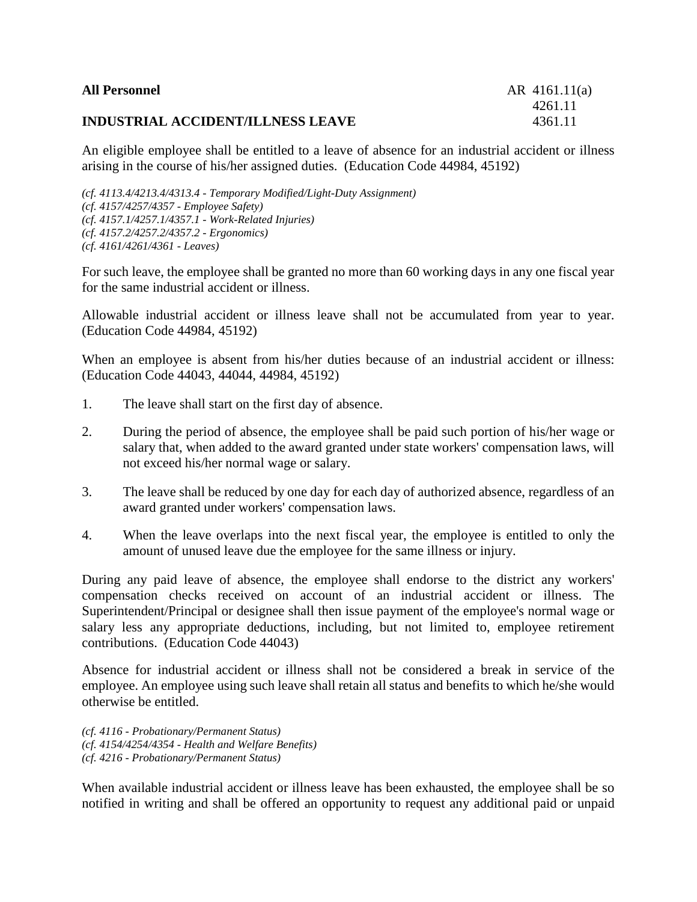| <b>All Personnel</b> |  |
|----------------------|--|
|----------------------|--|

## **INDUSTRIAL ACCIDENT/ILLNESS LEAVE** 4361.11

An eligible employee shall be entitled to a leave of absence for an industrial accident or illness arising in the course of his/her assigned duties. (Education Code 44984, 45192)

*(cf. 4113.4/4213.4/4313.4 - Temporary Modified/Light-Duty Assignment) (cf. 4157/4257/4357 - Employee Safety) (cf. 4157.1/4257.1/4357.1 - Work-Related Injuries) (cf. 4157.2/4257.2/4357.2 - Ergonomics) (cf. 4161/4261/4361 - Leaves)*

For such leave, the employee shall be granted no more than 60 working days in any one fiscal year for the same industrial accident or illness.

Allowable industrial accident or illness leave shall not be accumulated from year to year. (Education Code 44984, 45192)

When an employee is absent from his/her duties because of an industrial accident or illness: (Education Code 44043, 44044, 44984, 45192)

- 1. The leave shall start on the first day of absence.
- 2. During the period of absence, the employee shall be paid such portion of his/her wage or salary that, when added to the award granted under state workers' compensation laws, will not exceed his/her normal wage or salary.
- 3. The leave shall be reduced by one day for each day of authorized absence, regardless of an award granted under workers' compensation laws.
- 4. When the leave overlaps into the next fiscal year, the employee is entitled to only the amount of unused leave due the employee for the same illness or injury.

During any paid leave of absence, the employee shall endorse to the district any workers' compensation checks received on account of an industrial accident or illness. The Superintendent/Principal or designee shall then issue payment of the employee's normal wage or salary less any appropriate deductions, including, but not limited to, employee retirement contributions. (Education Code 44043)

Absence for industrial accident or illness shall not be considered a break in service of the employee. An employee using such leave shall retain all status and benefits to which he/she would otherwise be entitled.

*(cf. 4116 - Probationary/Permanent Status) (cf. 4154/4254/4354 - Health and Welfare Benefits) (cf. 4216 - Probationary/Permanent Status)*

When available industrial accident or illness leave has been exhausted, the employee shall be so notified in writing and shall be offered an opportunity to request any additional paid or unpaid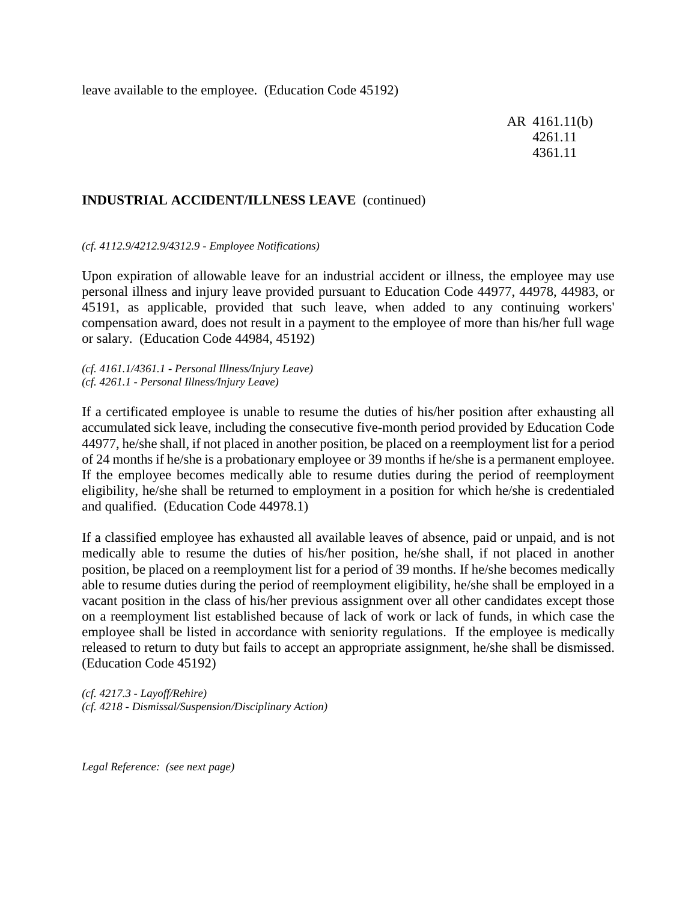leave available to the employee. (Education Code 45192)

AR 4161.11(b) 4261.11 4361.11

## **INDUSTRIAL ACCIDENT/ILLNESS LEAVE** (continued)

*(cf. 4112.9/4212.9/4312.9 - Employee Notifications)*

Upon expiration of allowable leave for an industrial accident or illness, the employee may use personal illness and injury leave provided pursuant to Education Code 44977, 44978, 44983, or 45191, as applicable, provided that such leave, when added to any continuing workers' compensation award, does not result in a payment to the employee of more than his/her full wage or salary. (Education Code 44984, 45192)

*(cf. 4161.1/4361.1 - Personal Illness/Injury Leave) (cf. 4261.1 - Personal Illness/Injury Leave)*

If a certificated employee is unable to resume the duties of his/her position after exhausting all accumulated sick leave, including the consecutive five-month period provided by Education Code 44977, he/she shall, if not placed in another position, be placed on a reemployment list for a period of 24 months if he/she is a probationary employee or 39 months if he/she is a permanent employee. If the employee becomes medically able to resume duties during the period of reemployment eligibility, he/she shall be returned to employment in a position for which he/she is credentialed and qualified. (Education Code 44978.1)

If a classified employee has exhausted all available leaves of absence, paid or unpaid, and is not medically able to resume the duties of his/her position, he/she shall, if not placed in another position, be placed on a reemployment list for a period of 39 months. If he/she becomes medically able to resume duties during the period of reemployment eligibility, he/she shall be employed in a vacant position in the class of his/her previous assignment over all other candidates except those on a reemployment list established because of lack of work or lack of funds, in which case the employee shall be listed in accordance with seniority regulations. If the employee is medically released to return to duty but fails to accept an appropriate assignment, he/she shall be dismissed. (Education Code 45192)

*(cf. 4217.3 - Layoff/Rehire) (cf. 4218 - Dismissal/Suspension/Disciplinary Action)*

*Legal Reference: (see next page)*